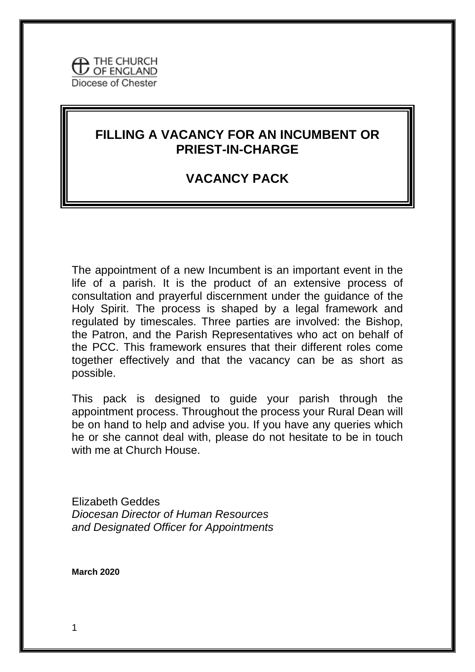

# **FILLING A VACANCY FOR AN INCUMBENT OR PRIEST-IN-CHARGE**

## **VACANCY PACK**

The appointment of a new Incumbent is an important event in the life of a parish. It is the product of an extensive process of consultation and prayerful discernment under the guidance of the Holy Spirit. The process is shaped by a legal framework and regulated by timescales. Three parties are involved: the Bishop, the Patron, and the Parish Representatives who act on behalf of the PCC. This framework ensures that their different roles come together effectively and that the vacancy can be as short as possible.

This pack is designed to guide your parish through the appointment process. Throughout the process your Rural Dean will be on hand to help and advise you. If you have any queries which he or she cannot deal with, please do not hesitate to be in touch with me at Church House.

Elizabeth Geddes *Diocesan Director of Human Resources and Designated Officer for Appointments*

**March 2020**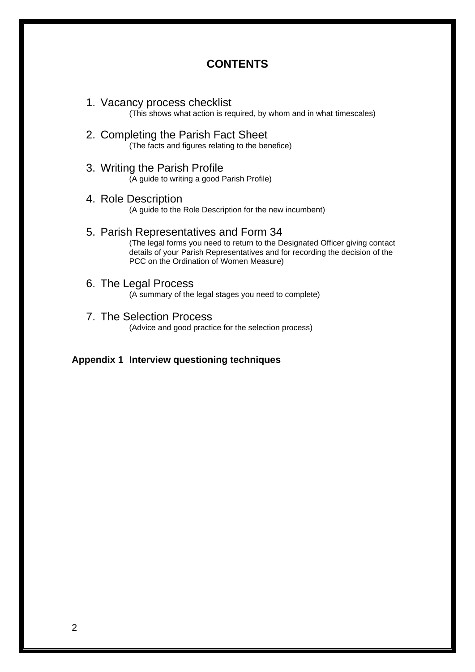### **CONTENTS**

- 1. Vacancy process checklist (This shows what action is required, by whom and in what timescales)
- 2. Completing the Parish Fact Sheet (The facts and figures relating to the benefice)
- 3. Writing the Parish Profile (A guide to writing a good Parish Profile)
- 4. Role Description (A guide to the Role Description for the new incumbent)

### 5. Parish Representatives and Form 34

(The legal forms you need to return to the Designated Officer giving contact details of your Parish Representatives and for recording the decision of the PCC on the Ordination of Women Measure)

6. The Legal Process

(A summary of the legal stages you need to complete)

7. The Selection Process

(Advice and good practice for the selection process)

#### **Appendix 1 Interview questioning techniques**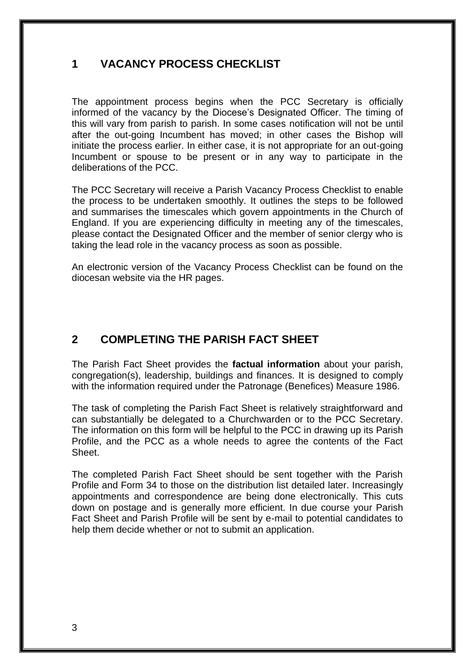## **1 VACANCY PROCESS CHECKLIST**

The appointment process begins when the PCC Secretary is officially informed of the vacancy by the Diocese's Designated Officer. The timing of this will vary from parish to parish. In some cases notification will not be until after the out-going Incumbent has moved; in other cases the Bishop will initiate the process earlier. In either case, it is not appropriate for an out-going Incumbent or spouse to be present or in any way to participate in the deliberations of the PCC.

The PCC Secretary will receive a Parish Vacancy Process Checklist to enable the process to be undertaken smoothly. It outlines the steps to be followed and summarises the timescales which govern appointments in the Church of England. If you are experiencing difficulty in meeting any of the timescales, please contact the Designated Officer and the member of senior clergy who is taking the lead role in the vacancy process as soon as possible.

An electronic version of the Vacancy Process Checklist can be found on the diocesan website via the HR pages.

## **2 COMPLETING THE PARISH FACT SHEET**

The Parish Fact Sheet provides the **factual information** about your parish, congregation(s), leadership, buildings and finances. It is designed to comply with the information required under the Patronage (Benefices) Measure 1986.

The task of completing the Parish Fact Sheet is relatively straightforward and can substantially be delegated to a Churchwarden or to the PCC Secretary. The information on this form will be helpful to the PCC in drawing up its Parish Profile, and the PCC as a whole needs to agree the contents of the Fact Sheet.

The completed Parish Fact Sheet should be sent together with the Parish Profile and Form 34 to those on the distribution list detailed later. Increasingly appointments and correspondence are being done electronically. This cuts down on postage and is generally more efficient. In due course your Parish Fact Sheet and Parish Profile will be sent by e-mail to potential candidates to help them decide whether or not to submit an application.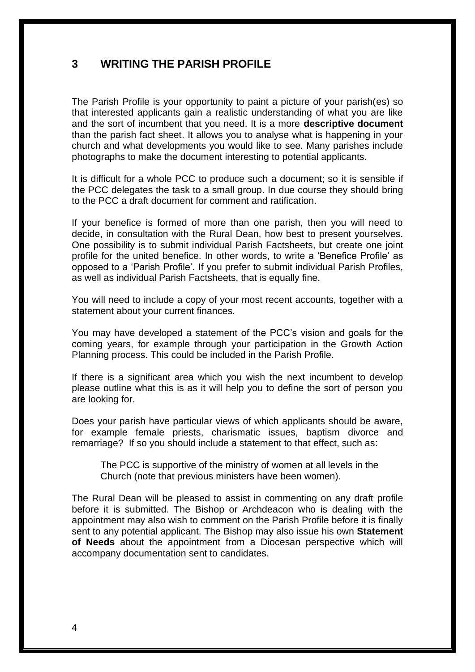### **3 WRITING THE PARISH PROFILE**

The Parish Profile is your opportunity to paint a picture of your parish(es) so that interested applicants gain a realistic understanding of what you are like and the sort of incumbent that you need. It is a more **descriptive document** than the parish fact sheet. It allows you to analyse what is happening in your church and what developments you would like to see. Many parishes include photographs to make the document interesting to potential applicants.

It is difficult for a whole PCC to produce such a document; so it is sensible if the PCC delegates the task to a small group. In due course they should bring to the PCC a draft document for comment and ratification.

If your benefice is formed of more than one parish, then you will need to decide, in consultation with the Rural Dean, how best to present yourselves. One possibility is to submit individual Parish Factsheets, but create one joint profile for the united benefice. In other words, to write a 'Benefice Profile' as opposed to a 'Parish Profile'. If you prefer to submit individual Parish Profiles, as well as individual Parish Factsheets, that is equally fine.

You will need to include a copy of your most recent accounts, together with a statement about your current finances.

You may have developed a statement of the PCC's vision and goals for the coming years, for example through your participation in the Growth Action Planning process. This could be included in the Parish Profile.

If there is a significant area which you wish the next incumbent to develop please outline what this is as it will help you to define the sort of person you are looking for.

Does your parish have particular views of which applicants should be aware, for example female priests, charismatic issues, baptism divorce and remarriage? If so you should include a statement to that effect, such as:

The PCC is supportive of the ministry of women at all levels in the Church (note that previous ministers have been women).

The Rural Dean will be pleased to assist in commenting on any draft profile before it is submitted. The Bishop or Archdeacon who is dealing with the appointment may also wish to comment on the Parish Profile before it is finally sent to any potential applicant. The Bishop may also issue his own **Statement of Needs** about the appointment from a Diocesan perspective which will accompany documentation sent to candidates.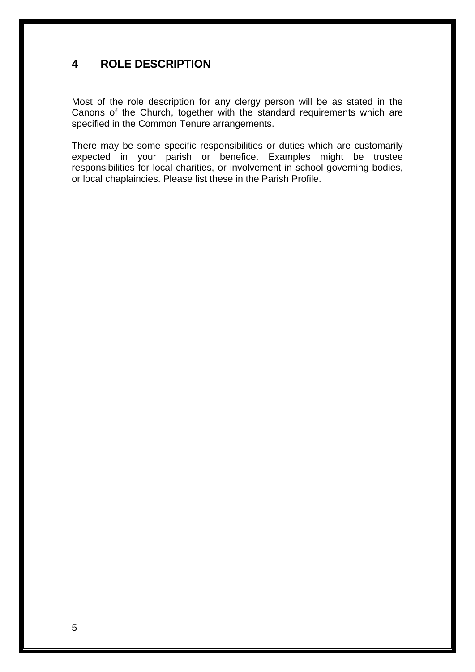## **4 ROLE DESCRIPTION**

Most of the role description for any clergy person will be as stated in the Canons of the Church, together with the standard requirements which are specified in the Common Tenure arrangements.

There may be some specific responsibilities or duties which are customarily expected in your parish or benefice. Examples might be trustee responsibilities for local charities, or involvement in school governing bodies, or local chaplaincies. Please list these in the Parish Profile.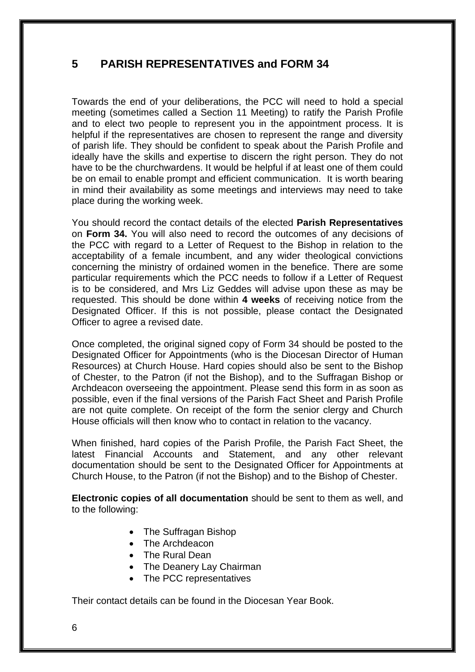## **5 PARISH REPRESENTATIVES and FORM 34**

Towards the end of your deliberations, the PCC will need to hold a special meeting (sometimes called a Section 11 Meeting) to ratify the Parish Profile and to elect two people to represent you in the appointment process. It is helpful if the representatives are chosen to represent the range and diversity of parish life. They should be confident to speak about the Parish Profile and ideally have the skills and expertise to discern the right person. They do not have to be the churchwardens. It would be helpful if at least one of them could be on email to enable prompt and efficient communication. It is worth bearing in mind their availability as some meetings and interviews may need to take place during the working week.

You should record the contact details of the elected **Parish Representatives** on **Form 34.** You will also need to record the outcomes of any decisions of the PCC with regard to a Letter of Request to the Bishop in relation to the acceptability of a female incumbent, and any wider theological convictions concerning the ministry of ordained women in the benefice. There are some particular requirements which the PCC needs to follow if a Letter of Request is to be considered, and Mrs Liz Geddes will advise upon these as may be requested. This should be done within **4 weeks** of receiving notice from the Designated Officer. If this is not possible, please contact the Designated Officer to agree a revised date.

Once completed, the original signed copy of Form 34 should be posted to the Designated Officer for Appointments (who is the Diocesan Director of Human Resources) at Church House. Hard copies should also be sent to the Bishop of Chester, to the Patron (if not the Bishop), and to the Suffragan Bishop or Archdeacon overseeing the appointment. Please send this form in as soon as possible, even if the final versions of the Parish Fact Sheet and Parish Profile are not quite complete. On receipt of the form the senior clergy and Church House officials will then know who to contact in relation to the vacancy.

When finished, hard copies of the Parish Profile, the Parish Fact Sheet, the latest Financial Accounts and Statement, and any other relevant documentation should be sent to the Designated Officer for Appointments at Church House, to the Patron (if not the Bishop) and to the Bishop of Chester.

**Electronic copies of all documentation** should be sent to them as well, and to the following:

- The Suffragan Bishop
- The Archdeacon
- The Rural Dean
- The Deanery Lay Chairman
- The PCC representatives

Their contact details can be found in the Diocesan Year Book.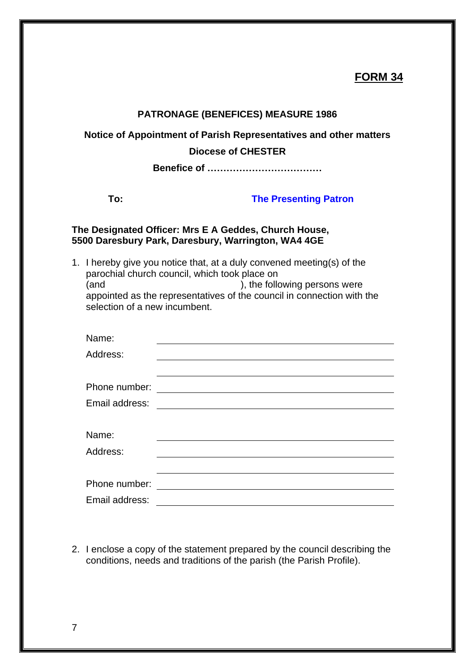## **FORM 34**

### **PATRONAGE (BENEFICES) MEASURE 1986**

### **Notice of Appointment of Parish Representatives and other matters**

### **Diocese of CHESTER**

**Benefice of ………………………………**

**To: The Presenting Patron**

### **The Designated Officer: Mrs E A Geddes, Church House, 5500 Daresbury Park, Daresbury, Warrington, WA4 4GE**

1. I hereby give you notice that, at a duly convened meeting(s) of the parochial church council, which took place on (and ), the following persons were appointed as the representatives of the council in connection with the selection of a new incumbent.

| Name:          |                                                                                                                             |
|----------------|-----------------------------------------------------------------------------------------------------------------------------|
| Address:       |                                                                                                                             |
|                |                                                                                                                             |
| Phone number:  | <u> 1980 - Andrea Andrew Maria (h. 1980).</u>                                                                               |
| Email address: | <u> 1989 - Andrea Station Barbara, amerikan personal personal personal personal personal personal personal personal per</u> |
|                |                                                                                                                             |
| Name:          |                                                                                                                             |
| Address:       |                                                                                                                             |
|                |                                                                                                                             |
| Phone number:  |                                                                                                                             |
| Email address: |                                                                                                                             |

2. I enclose a copy of the statement prepared by the council describing the conditions, needs and traditions of the parish (the Parish Profile).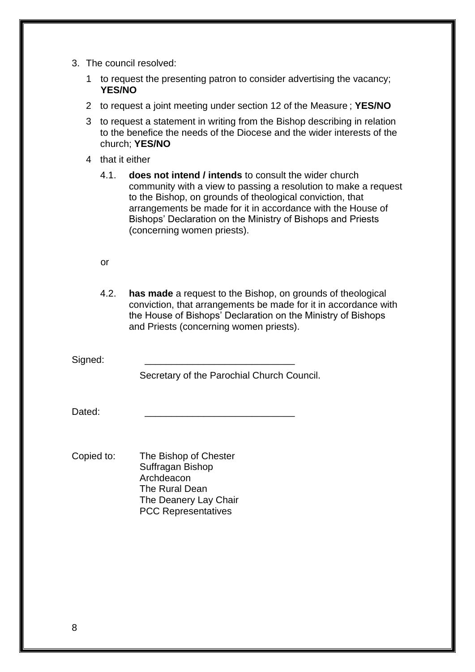- 3. The council resolved:
	- 1 to request the presenting patron to consider advertising the vacancy; **YES/NO**
	- 2 to request a joint meeting under section 12 of the Measure ; **YES/NO**
	- 3 to request a statement in writing from the Bishop describing in relation to the benefice the needs of the Diocese and the wider interests of the church; **YES/NO**
	- 4 that it either
		- 4.1. **does not intend / intends** to consult the wider church community with a view to passing a resolution to make a request to the Bishop, on grounds of theological conviction, that arrangements be made for it in accordance with the House of Bishops' Declaration on the Ministry of Bishops and Priests (concerning women priests).

or

4.2. **has made** a request to the Bishop, on grounds of theological conviction, that arrangements be made for it in accordance with the House of Bishops' Declaration on the Ministry of Bishops and Priests (concerning women priests).

Signed:

Secretary of the Parochial Church Council.

Dated:

Copied to: The Bishop of Chester Suffragan Bishop Archdeacon The Rural Dean The Deanery Lay Chair PCC Representatives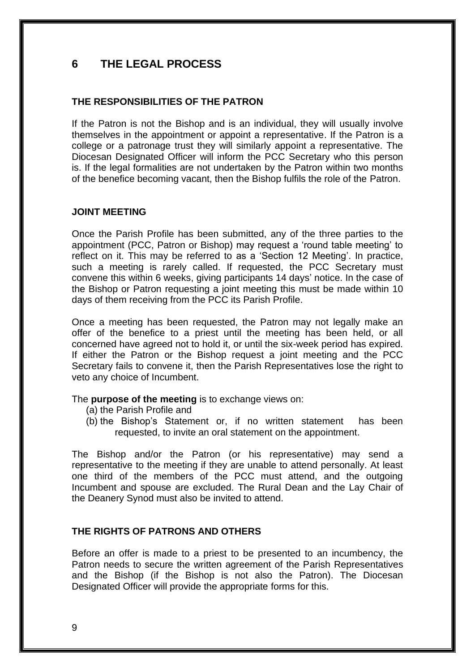## **6 THE LEGAL PROCESS**

### **THE RESPONSIBILITIES OF THE PATRON**

If the Patron is not the Bishop and is an individual, they will usually involve themselves in the appointment or appoint a representative. If the Patron is a college or a patronage trust they will similarly appoint a representative. The Diocesan Designated Officer will inform the PCC Secretary who this person is. If the legal formalities are not undertaken by the Patron within two months of the benefice becoming vacant, then the Bishop fulfils the role of the Patron.

### **JOINT MEETING**

Once the Parish Profile has been submitted, any of the three parties to the appointment (PCC, Patron or Bishop) may request a 'round table meeting' to reflect on it. This may be referred to as a 'Section 12 Meeting'. In practice, such a meeting is rarely called. If requested, the PCC Secretary must convene this within 6 weeks, giving participants 14 days' notice. In the case of the Bishop or Patron requesting a joint meeting this must be made within 10 days of them receiving from the PCC its Parish Profile.

Once a meeting has been requested, the Patron may not legally make an offer of the benefice to a priest until the meeting has been held, or all concerned have agreed not to hold it, or until the six-week period has expired. If either the Patron or the Bishop request a joint meeting and the PCC Secretary fails to convene it, then the Parish Representatives lose the right to veto any choice of Incumbent.

The **purpose of the meeting** is to exchange views on:

- (a) the Parish Profile and
- (b) the Bishop's Statement or, if no written statement has been requested, to invite an oral statement on the appointment.

The Bishop and/or the Patron (or his representative) may send a representative to the meeting if they are unable to attend personally. At least one third of the members of the PCC must attend, and the outgoing Incumbent and spouse are excluded. The Rural Dean and the Lay Chair of the Deanery Synod must also be invited to attend.

### **THE RIGHTS OF PATRONS AND OTHERS**

Before an offer is made to a priest to be presented to an incumbency, the Patron needs to secure the written agreement of the Parish Representatives and the Bishop (if the Bishop is not also the Patron). The Diocesan Designated Officer will provide the appropriate forms for this.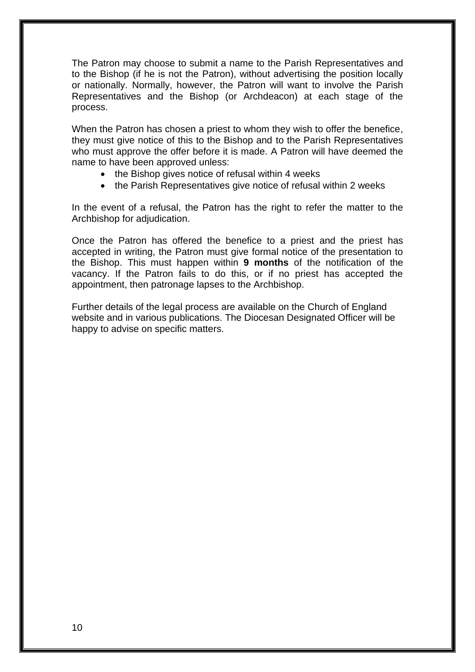The Patron may choose to submit a name to the Parish Representatives and to the Bishop (if he is not the Patron), without advertising the position locally or nationally. Normally, however, the Patron will want to involve the Parish Representatives and the Bishop (or Archdeacon) at each stage of the process.

When the Patron has chosen a priest to whom they wish to offer the benefice, they must give notice of this to the Bishop and to the Parish Representatives who must approve the offer before it is made. A Patron will have deemed the name to have been approved unless:

- the Bishop gives notice of refusal within 4 weeks
- the Parish Representatives give notice of refusal within 2 weeks

In the event of a refusal, the Patron has the right to refer the matter to the Archbishop for adjudication.

Once the Patron has offered the benefice to a priest and the priest has accepted in writing, the Patron must give formal notice of the presentation to the Bishop. This must happen within **9 months** of the notification of the vacancy. If the Patron fails to do this, or if no priest has accepted the appointment, then patronage lapses to the Archbishop.

Further details of the legal process are available on the Church of England website and in various publications. The Diocesan Designated Officer will be happy to advise on specific matters.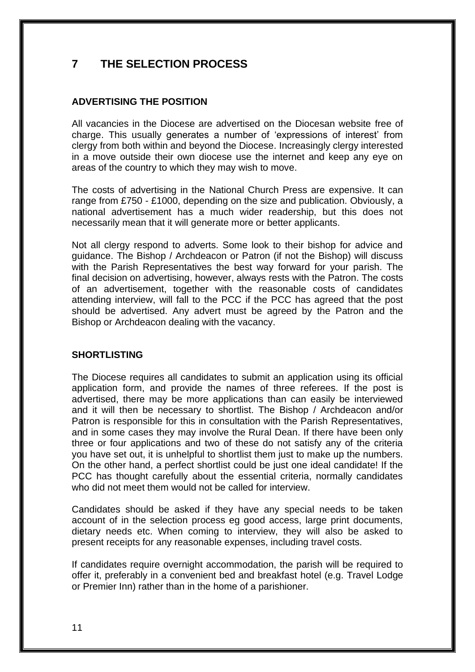# **7 THE SELECTION PROCESS**

### **ADVERTISING THE POSITION**

All vacancies in the Diocese are advertised on the Diocesan website free of charge. This usually generates a number of 'expressions of interest' from clergy from both within and beyond the Diocese. Increasingly clergy interested in a move outside their own diocese use the internet and keep any eye on areas of the country to which they may wish to move.

The costs of advertising in the National Church Press are expensive. It can range from £750 - £1000, depending on the size and publication. Obviously, a national advertisement has a much wider readership, but this does not necessarily mean that it will generate more or better applicants.

Not all clergy respond to adverts. Some look to their bishop for advice and guidance. The Bishop / Archdeacon or Patron (if not the Bishop) will discuss with the Parish Representatives the best way forward for your parish. The final decision on advertising, however, always rests with the Patron. The costs of an advertisement, together with the reasonable costs of candidates attending interview, will fall to the PCC if the PCC has agreed that the post should be advertised. Any advert must be agreed by the Patron and the Bishop or Archdeacon dealing with the vacancy.

### **SHORTLISTING**

The Diocese requires all candidates to submit an application using its official application form, and provide the names of three referees. If the post is advertised, there may be more applications than can easily be interviewed and it will then be necessary to shortlist. The Bishop / Archdeacon and/or Patron is responsible for this in consultation with the Parish Representatives, and in some cases they may involve the Rural Dean. If there have been only three or four applications and two of these do not satisfy any of the criteria you have set out, it is unhelpful to shortlist them just to make up the numbers. On the other hand, a perfect shortlist could be just one ideal candidate! If the PCC has thought carefully about the essential criteria, normally candidates who did not meet them would not be called for interview.

Candidates should be asked if they have any special needs to be taken account of in the selection process eg good access, large print documents, dietary needs etc. When coming to interview, they will also be asked to present receipts for any reasonable expenses, including travel costs.

If candidates require overnight accommodation, the parish will be required to offer it, preferably in a convenient bed and breakfast hotel (e.g. Travel Lodge or Premier Inn) rather than in the home of a parishioner.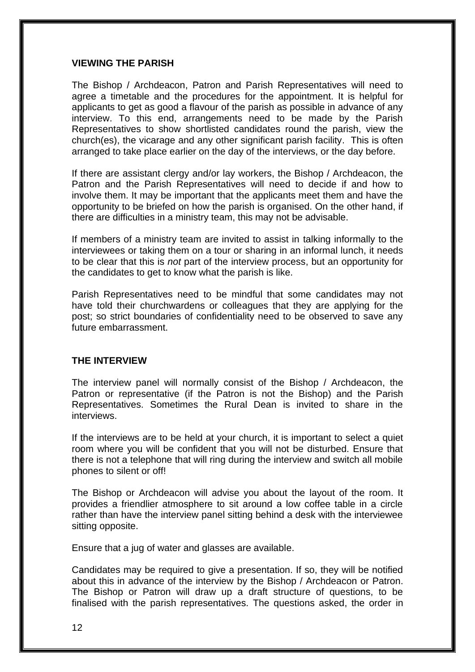#### **VIEWING THE PARISH**

The Bishop / Archdeacon, Patron and Parish Representatives will need to agree a timetable and the procedures for the appointment. It is helpful for applicants to get as good a flavour of the parish as possible in advance of any interview. To this end, arrangements need to be made by the Parish Representatives to show shortlisted candidates round the parish, view the church(es), the vicarage and any other significant parish facility. This is often arranged to take place earlier on the day of the interviews, or the day before.

If there are assistant clergy and/or lay workers, the Bishop / Archdeacon, the Patron and the Parish Representatives will need to decide if and how to involve them. It may be important that the applicants meet them and have the opportunity to be briefed on how the parish is organised. On the other hand, if there are difficulties in a ministry team, this may not be advisable.

If members of a ministry team are invited to assist in talking informally to the interviewees or taking them on a tour or sharing in an informal lunch, it needs to be clear that this is *not* part of the interview process, but an opportunity for the candidates to get to know what the parish is like.

Parish Representatives need to be mindful that some candidates may not have told their churchwardens or colleagues that they are applying for the post; so strict boundaries of confidentiality need to be observed to save any future embarrassment.

### **THE INTERVIEW**

The interview panel will normally consist of the Bishop / Archdeacon, the Patron or representative (if the Patron is not the Bishop) and the Parish Representatives. Sometimes the Rural Dean is invited to share in the interviews.

If the interviews are to be held at your church, it is important to select a quiet room where you will be confident that you will not be disturbed. Ensure that there is not a telephone that will ring during the interview and switch all mobile phones to silent or off!

The Bishop or Archdeacon will advise you about the layout of the room. It provides a friendlier atmosphere to sit around a low coffee table in a circle rather than have the interview panel sitting behind a desk with the interviewee sitting opposite.

Ensure that a jug of water and glasses are available.

Candidates may be required to give a presentation. If so, they will be notified about this in advance of the interview by the Bishop / Archdeacon or Patron. The Bishop or Patron will draw up a draft structure of questions, to be finalised with the parish representatives. The questions asked, the order in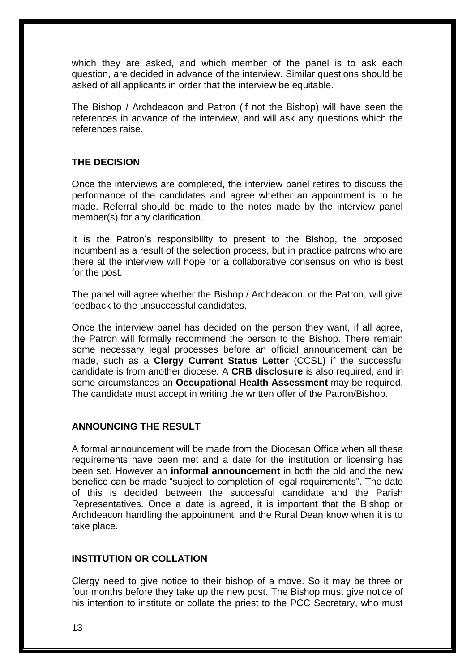which they are asked, and which member of the panel is to ask each question, are decided in advance of the interview. Similar questions should be asked of all applicants in order that the interview be equitable.

The Bishop / Archdeacon and Patron (if not the Bishop) will have seen the references in advance of the interview, and will ask any questions which the references raise.

### **THE DECISION**

Once the interviews are completed, the interview panel retires to discuss the performance of the candidates and agree whether an appointment is to be made. Referral should be made to the notes made by the interview panel member(s) for any clarification.

It is the Patron's responsibility to present to the Bishop, the proposed Incumbent as a result of the selection process, but in practice patrons who are there at the interview will hope for a collaborative consensus on who is best for the post.

The panel will agree whether the Bishop / Archdeacon, or the Patron, will give feedback to the unsuccessful candidates.

Once the interview panel has decided on the person they want, if all agree, the Patron will formally recommend the person to the Bishop. There remain some necessary legal processes before an official announcement can be made, such as a **Clergy Current Status Letter** (CCSL) if the successful candidate is from another diocese. A **CRB disclosure** is also required, and in some circumstances an **Occupational Health Assessment** may be required. The candidate must accept in writing the written offer of the Patron/Bishop.

### **ANNOUNCING THE RESULT**

A formal announcement will be made from the Diocesan Office when all these requirements have been met and a date for the institution or licensing has been set. However an **informal announcement** in both the old and the new benefice can be made "subject to completion of legal requirements". The date of this is decided between the successful candidate and the Parish Representatives. Once a date is agreed, it is important that the Bishop or Archdeacon handling the appointment, and the Rural Dean know when it is to take place.

### **INSTITUTION OR COLLATION**

Clergy need to give notice to their bishop of a move. So it may be three or four months before they take up the new post. The Bishop must give notice of his intention to institute or collate the priest to the PCC Secretary, who must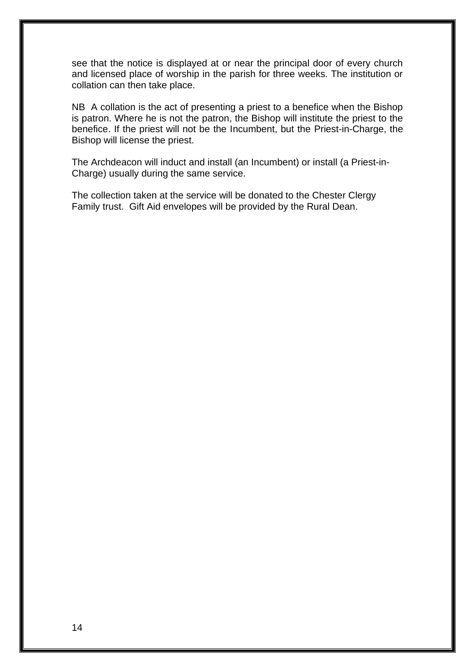see that the notice is displayed at or near the principal door of every church and licensed place of worship in the parish for three weeks. The institution or collation can then take place.

NB A collation is the act of presenting a priest to a benefice when the Bishop is patron. Where he is not the patron, the Bishop will institute the priest to the benefice. If the priest will not be the Incumbent, but the Priest-in-Charge, the Bishop will license the priest.

The Archdeacon will induct and install (an Incumbent) or install (a Priest-in-Charge) usually during the same service.

The collection taken at the service will be donated to the Chester Clergy Family trust. Gift Aid envelopes will be provided by the Rural Dean.